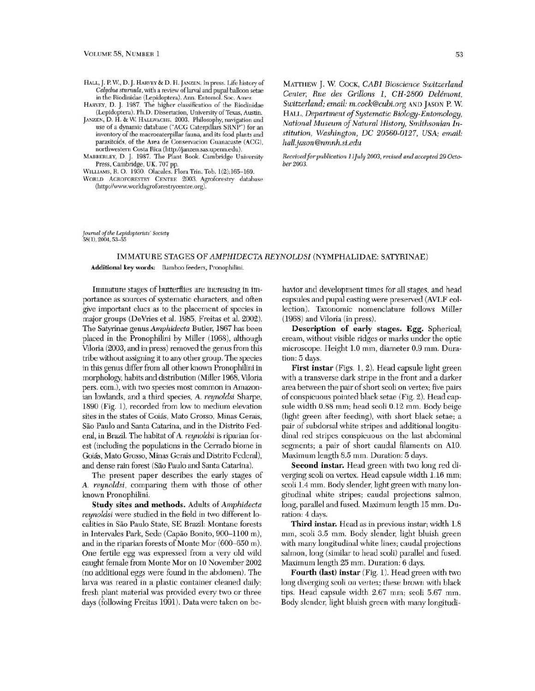- HALL, J. P. W., D. J. HARVEY & D. H. JANZEN. In press. Life history of Calydna sturnula, with a review of larval and pupal balloon setae in the Riodinidae (Lepidoptera). Ann. Entomol. Soc. Amer
- HARVEY, D. J. 1987. The higher classification of the Riodinidae (Lepidoptera). Ph.D. Dissertation, University of Texas, Austin.

JANZEN, D. H. & W. HALLWACHS. 2003. Philosophy, navigation and use of a dynamic database ("ACG Caterpillars SRNP") for an inventory of the macrocaterpillar fauna, and its food plants and parasitoids, of the Area de Conservacion Guanacaste (ACG), northwestern Costa Rica (http://janzen.sas.upenn.edu).

MABBERLEY, D. J. 1987. The Plant Book. Cambridge University Press, Cambridge, UK. 707 pp.

WILLIAMS, R. O. 1930. Olacales. Flora Trin. Tob. 1(2):165-169.

WORLD AGROFORESTRY CENTRE 2003. Agroforestry database (http://www.worldagroforestrycentre.org).

MATTHEW J. W. COCK, CABI Bioscience Switzerland Center, Rue des Grillons 1, CH-2800 Delémont. Switzerland; email: m.cock@cubi.org AND JASON P.W. HALL, Department of Systematic Biology-Entomology, National Museum of Natural History, Smithsonian Institution, Washington, DC 20560-0127, USA; email: hall.jason@nmnh.si.edu

Received for publication 11July 2003, revised and accepted 29 October 2003.

Journal of the Lepidopterists' Society 58(1), 2004, 53-55

## IMMATURE STAGES OF AMPHIDECTA REYNOLDSI (NYMPHALIDAE: SATYRINAE)

Additional key words: Bamboo feeders, Pronophilini.

Immature stages of butterflies are increasing in importance as sources of systematic characters, and often give important clues as to the placement of species in major groups (DeVries et al. 1985, Freitas et al. 2002). The Satyrinae genus Amphidecta Butler, 1867 has been placed in the Pronophilini by Miller (1968), although Viloria (2003, and in press) removed the genus from this tribe without assigning it to any other group. The species in this genus differ from all other known Pronophilini in morphology, habits and distribution (Miller 1968, Viloria pers. com.), with two species most common in Amazonian lowlands, and a third species, A. reynoldsi Sharpe, 1890 (Fig. 1), recorded from low to medium elevation sites in the states of Goiás, Mato Grosso, Minas Gerais, São Paulo and Santa Catarina, and in the Distrito Federal, in Brazil. The habitat of A. reynoldsi is riparian forest (including the populations in the Cerrado biome in Goiás, Mato Grosso, Minas Gerais and Distrito Federal), and dense rain forest (São Paulo and Santa Catarina).

The present paper describes the early stages of A. reynoldsi, comparing them with those of other known Pronophilini.

Study sites and methods. Adults of Amphidecta reynoldsi were studied in the field in two different localities in São Paulo State, SE Brazil: Montane forests in Intervales Park, Sede (Capão Bonito, 900-1100 m), and in the riparian forests of Monte Mor (600-650 m). One fertile egg was expressed from a very old wild caught female from Monte Mor on 10 November 2002 (no additional eggs were found in the abdomen). The larva was reared in a plastic container cleaned daily; fresh plant material was provided every two or three days (following Freitas 1991). Data were taken on behavior and development times for all stages, and head capsules and pupal casting were preserved (AVLF collection). Taxonomic nomenclature follows Miller (1968) and Viloria (in press).

Description of early stages. Egg. Spherical; cream, without visible ridges or marks under the optic microscope. Height 1.0 mm, diameter 0.9 mm. Duration: 5 days.

First instar (Figs. 1, 2). Head capsule light green with a transverse dark stripe in the front and a darker area between the pair of short scoli on vertex; five pairs of conspicuous pointed black setae (Fig. 2). Head capsule width 0.88 mm; head scoli 0.12 mm. Body beige (light green after feeding), with short black setae; a pair of subdorsal white stripes and additional longitudinal red stripes conspicuous on the last abdominal segments; a pair of short caudal filaments on A10. Maximum length 8.5 mm. Duration: 5 days.

Second instar. Head green with two long red diverging scoli on vertex. Head capsule width 1.16 mm; scoli 1.4 mm. Body slender, light green with many longitudinal white stripes; caudal projections salmon, long, parallel and fused. Maximum length 15 mm. Duration: 4 days.

Third instar. Head as in previous instar; width 1.8 mm, scoli 3.5 mm. Body slender, light bluish green with many longitudinal white lines; caudal projections salmon, long (similar to head scoli) parallel and fused. Maximum length 25 mm. Duration: 6 days.

Fourth (last) instar (Fig. 1). Head green with two long diverging scoli on vertex; these brown with black tips. Head capsule width 2.67 mm; scoli 5.67 mm. Body slender, light bluish green with many longitudi-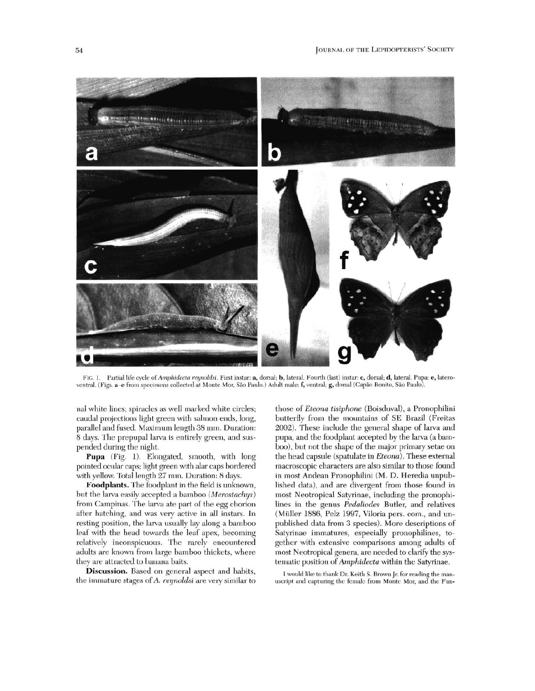

 $Fig. 1.$ Partial life cycle of Amphidecta reunoldsi. First instar: a, dorsal; b, lateral. Fourth (last) instar: c, dorsal; d, lateral. Pupa: e, lateroventral. (Figs. a-e from specimens collected at Monte Mor, São Paulo.) Adult male: f, ventral; g, dorsal (Capão Bonito, São Paulo).

nal white lines; spiracles as well marked white circles; caudal projections light green with salmon ends, long, parallel and fused. Maximum length 38 mm. Duration: 8 days. The prepupal larva is entirely green, and suspended during the night.

Pupa (Fig. 1). Elongated, smooth, with long pointed ocular caps; light green with alar caps bordered with yellow. Total length 27 mm. Duration: 8 days.

Foodplants. The foodplant in the field is unknown, but the larva easily accepted a bamboo (Merostachys) from Campinas. The larva ate part of the egg chorion after hatching, and was very active in all instars. In resting position, the larva usually lay along a bamboo leaf with the head towards the leaf apex, becoming relatively inconspicuous. The rarely encountered adults are known from large bamboo thickets, where they are attracted to banana baits.

Discussion. Based on general aspect and habits, the immature stages of A. reynoldsi are very similar to those of Eteona tisiphone (Boisduval), a Pronophilini butterfly from the mountains of SE Brazil (Freitas 2002). These include the general shape of larva and pupa, and the foodplant accepted by the larva (a bamboo), but not the shape of the major primary setae on the head capsule (spatulate in *Eteona*). These external macroscopic characters are also similar to those found in most Andean Pronophilini (M. D. Heredia unpublished data), and are divergent from those found in most Neotropical Satyrinae, including the pronophilines in the genus Pedaliodes Butler, and relatives (Müller 1886, Pelz 1997, Viloria pers. com., and unpublished data from 3 species). More descriptions of Satyrinae immatures, especially pronophilines, together with extensive comparisons among adults of most Neotropical genera, are needed to clarify the systematic position of Amphidecta within the Satyrinae.

I would like to thank Dr. Keith S. Brown Jr. for reading the manuscript and capturing the female from Monte Mor, and the Fun-